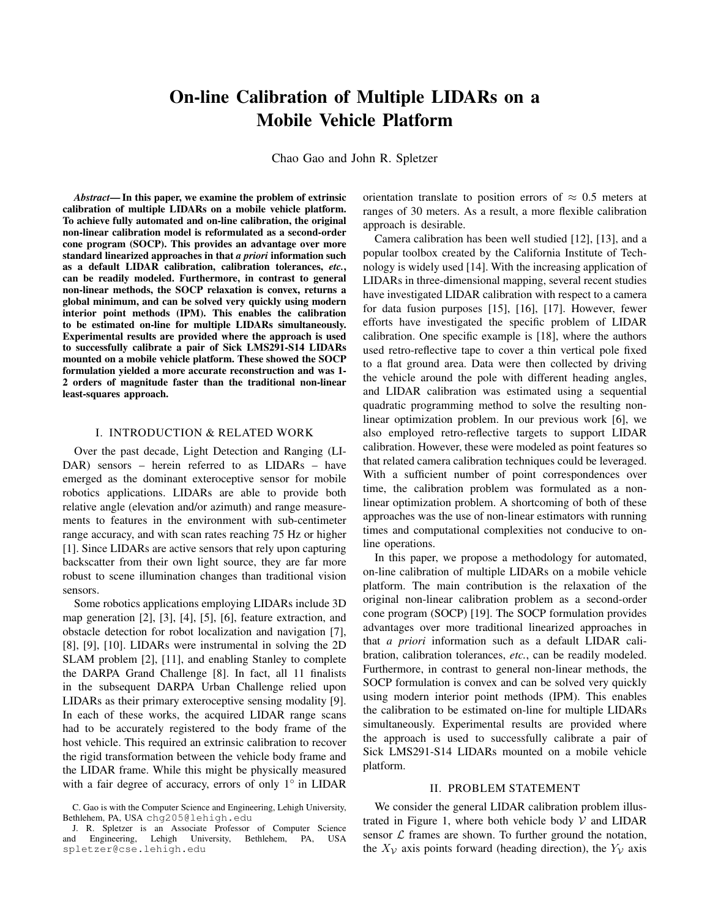# On-line Calibration of Multiple LIDARs on a Mobile Vehicle Platform

Chao Gao and John R. Spletzer

*Abstract*— In this paper, we examine the problem of extrinsic calibration of multiple LIDARs on a mobile vehicle platform. To achieve fully automated and on-line calibration, the original non-linear calibration model is reformulated as a second-order cone program (SOCP). This provides an advantage over more standard linearized approaches in that *a priori* information such as a default LIDAR calibration, calibration tolerances, *etc.*, can be readily modeled. Furthermore, in contrast to general non-linear methods, the SOCP relaxation is convex, returns a global minimum, and can be solved very quickly using modern interior point methods (IPM). This enables the calibration to be estimated on-line for multiple LIDARs simultaneously. Experimental results are provided where the approach is used to successfully calibrate a pair of Sick LMS291-S14 LIDARs mounted on a mobile vehicle platform. These showed the SOCP formulation yielded a more accurate reconstruction and was 1- 2 orders of magnitude faster than the traditional non-linear least-squares approach.

# I. INTRODUCTION & RELATED WORK

Over the past decade, Light Detection and Ranging (LI-DAR) sensors – herein referred to as LIDARs – have emerged as the dominant exteroceptive sensor for mobile robotics applications. LIDARs are able to provide both relative angle (elevation and/or azimuth) and range measurements to features in the environment with sub-centimeter range accuracy, and with scan rates reaching 75 Hz or higher [1]. Since LIDARs are active sensors that rely upon capturing backscatter from their own light source, they are far more robust to scene illumination changes than traditional vision sensors.

Some robotics applications employing LIDARs include 3D map generation [2], [3], [4], [5], [6], feature extraction, and obstacle detection for robot localization and navigation [7], [8], [9], [10]. LIDARs were instrumental in solving the 2D SLAM problem [2], [11], and enabling Stanley to complete the DARPA Grand Challenge [8]. In fact, all 11 finalists in the subsequent DARPA Urban Challenge relied upon LIDARs as their primary exteroceptive sensing modality [9]. In each of these works, the acquired LIDAR range scans had to be accurately registered to the body frame of the host vehicle. This required an extrinsic calibration to recover the rigid transformation between the vehicle body frame and the LIDAR frame. While this might be physically measured with a fair degree of accuracy, errors of only 1° in LIDAR

orientation translate to position errors of  $\approx 0.5$  meters at ranges of 30 meters. As a result, a more flexible calibration approach is desirable.

Camera calibration has been well studied [12], [13], and a popular toolbox created by the California Institute of Technology is widely used [14]. With the increasing application of LIDARs in three-dimensional mapping, several recent studies have investigated LIDAR calibration with respect to a camera for data fusion purposes [15], [16], [17]. However, fewer efforts have investigated the specific problem of LIDAR calibration. One specific example is [18], where the authors used retro-reflective tape to cover a thin vertical pole fixed to a flat ground area. Data were then collected by driving the vehicle around the pole with different heading angles, and LIDAR calibration was estimated using a sequential quadratic programming method to solve the resulting nonlinear optimization problem. In our previous work [6], we also employed retro-reflective targets to support LIDAR calibration. However, these were modeled as point features so that related camera calibration techniques could be leveraged. With a sufficient number of point correspondences over time, the calibration problem was formulated as a nonlinear optimization problem. A shortcoming of both of these approaches was the use of non-linear estimators with running times and computational complexities not conducive to online operations.

In this paper, we propose a methodology for automated, on-line calibration of multiple LIDARs on a mobile vehicle platform. The main contribution is the relaxation of the original non-linear calibration problem as a second-order cone program (SOCP) [19]. The SOCP formulation provides advantages over more traditional linearized approaches in that *a priori* information such as a default LIDAR calibration, calibration tolerances, *etc.*, can be readily modeled. Furthermore, in contrast to general non-linear methods, the SOCP formulation is convex and can be solved very quickly using modern interior point methods (IPM). This enables the calibration to be estimated on-line for multiple LIDARs simultaneously. Experimental results are provided where the approach is used to successfully calibrate a pair of Sick LMS291-S14 LIDARs mounted on a mobile vehicle platform.

## II. PROBLEM STATEMENT

We consider the general LIDAR calibration problem illustrated in Figure 1, where both vehicle body  $V$  and LIDAR sensor  $\mathcal L$  frames are shown. To further ground the notation, the  $X_{\mathcal{V}}$  axis points forward (heading direction), the  $Y_{\mathcal{V}}$  axis

C. Gao is with the Computer Science and Engineering, Lehigh University, Bethlehem, PA, USA chg205@lehigh.edu

J. R. Spletzer is an Associate Professor of Computer Science<br>d Engineering, Lehigh University, Bethlehem, PA, USA and Engineering, Lehigh University, spletzer@cse.lehigh.edu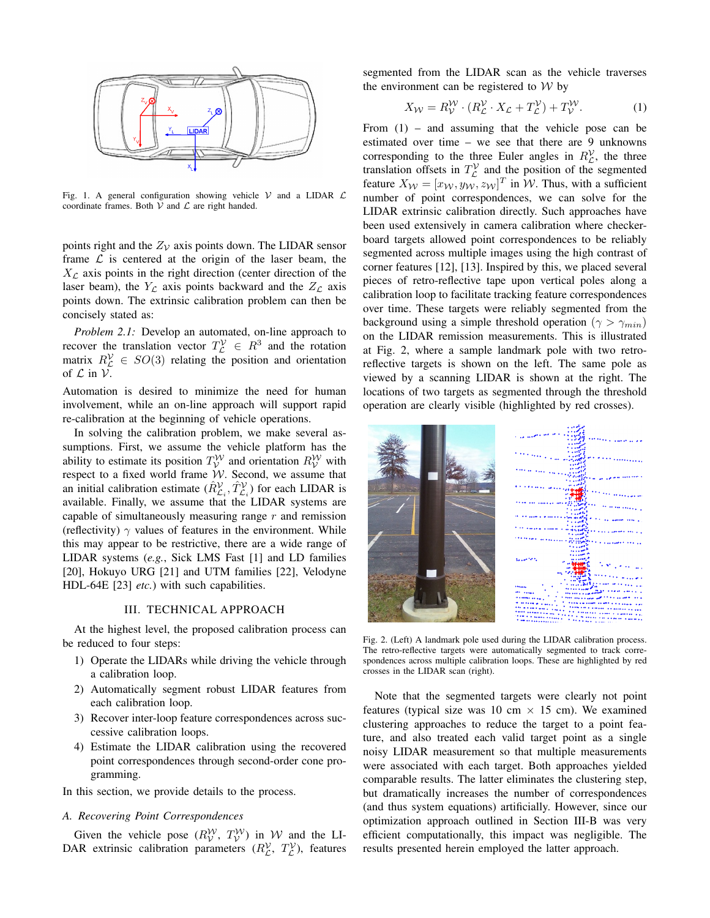

Fig. 1. A general configuration showing vehicle  $V$  and a LIDAR  $L$ coordinate frames. Both  $\mathcal V$  and  $\mathcal L$  are right handed.

points right and the  $Z_V$  axis points down. The LIDAR sensor frame  $\mathcal L$  is centered at the origin of the laser beam, the  $X_{\mathcal{L}}$  axis points in the right direction (center direction of the laser beam), the  $Y_{\mathcal{L}}$  axis points backward and the  $Z_{\mathcal{L}}$  axis points down. The extrinsic calibration problem can then be concisely stated as:

*Problem 2.1:* Develop an automated, on-line approach to recover the translation vector  $T_L^{\mathcal{V}} \in R^3$  and the rotation matrix  $R_{\mathcal{L}}^{\mathcal{V}} \in SO(3)$  relating the position and orientation of  $\mathcal L$  in  $\mathcal V$ .

Automation is desired to minimize the need for human involvement, while an on-line approach will support rapid re-calibration at the beginning of vehicle operations.

In solving the calibration problem, we make several assumptions. First, we assume the vehicle platform has the ability to estimate its position  $T_{\mathcal{V}}^{\mathcal{W}}$  and orientation  $R_{\mathcal{V}}^{\mathcal{W}}$  with respect to a fixed world frame W. Second, we assume that an initial calibration estimate  $(\hat{R}_{\mathcal{L}_i}^{\mathcal{V}}, \hat{T}_{\mathcal{L}_i}^{\mathcal{V}})$  for each LIDAR is available. Finally, we assume that the LIDAR systems are capable of simultaneously measuring range  $r$  and remission (reflectivity)  $\gamma$  values of features in the environment. While this may appear to be restrictive, there are a wide range of LIDAR systems (*e.g.*, Sick LMS Fast [1] and LD families [20], Hokuyo URG [21] and UTM families [22], Velodyne HDL-64E [23] *etc.*) with such capabilities.

## III. TECHNICAL APPROACH

At the highest level, the proposed calibration process can be reduced to four steps:

- 1) Operate the LIDARs while driving the vehicle through a calibration loop.
- 2) Automatically segment robust LIDAR features from each calibration loop.
- 3) Recover inter-loop feature correspondences across successive calibration loops.
- 4) Estimate the LIDAR calibration using the recovered point correspondences through second-order cone programming.

In this section, we provide details to the process.

# *A. Recovering Point Correspondences*

Given the vehicle pose  $(R_V^{\mathcal{W}}, T_V^{\mathcal{W}})$  in W and the LI-DAR extrinsic calibration parameters  $(R_{\mathcal{L}}^{\mathcal{V}}, T_{\mathcal{L}}^{\mathcal{V}})$ , features segmented from the LIDAR scan as the vehicle traverses the environment can be registered to  $W$  by

$$
X_{\mathcal{W}} = R_{\mathcal{V}}^{\mathcal{W}} \cdot (R_{\mathcal{L}}^{\mathcal{V}} \cdot X_{\mathcal{L}} + T_{\mathcal{L}}^{\mathcal{V}}) + T_{\mathcal{V}}^{\mathcal{W}}.
$$
 (1)

From (1) – and assuming that the vehicle pose can be estimated over time – we see that there are 9 unknowns corresponding to the three Euler angles in  $R_{\mathcal{L}}^{\mathcal{V}}$ , the three translation offsets in  $T_{\mathcal{L}}^{\mathcal{V}}$  and the position of the segmented feature  $X_w = [x_w, y_w, z_w]^T$  in W. Thus, with a sufficient number of point correspondences, we can solve for the LIDAR extrinsic calibration directly. Such approaches have been used extensively in camera calibration where checkerboard targets allowed point correspondences to be reliably segmented across multiple images using the high contrast of corner features [12], [13]. Inspired by this, we placed several pieces of retro-reflective tape upon vertical poles along a calibration loop to facilitate tracking feature correspondences over time. These targets were reliably segmented from the background using a simple threshold operation ( $\gamma > \gamma_{min}$ ) on the LIDAR remission measurements. This is illustrated at Fig. 2, where a sample landmark pole with two retroreflective targets is shown on the left. The same pole as viewed by a scanning LIDAR is shown at the right. The locations of two targets as segmented through the threshold operation are clearly visible (highlighted by red crosses).



Fig. 2. (Left) A landmark pole used during the LIDAR calibration process. The retro-reflective targets were automatically segmented to track correspondences across multiple calibration loops. These are highlighted by red crosses in the LIDAR scan (right).

Note that the segmented targets were clearly not point features (typical size was 10 cm  $\times$  15 cm). We examined clustering approaches to reduce the target to a point feature, and also treated each valid target point as a single noisy LIDAR measurement so that multiple measurements were associated with each target. Both approaches yielded comparable results. The latter eliminates the clustering step, but dramatically increases the number of correspondences (and thus system equations) artificially. However, since our optimization approach outlined in Section III-B was very efficient computationally, this impact was negligible. The results presented herein employed the latter approach.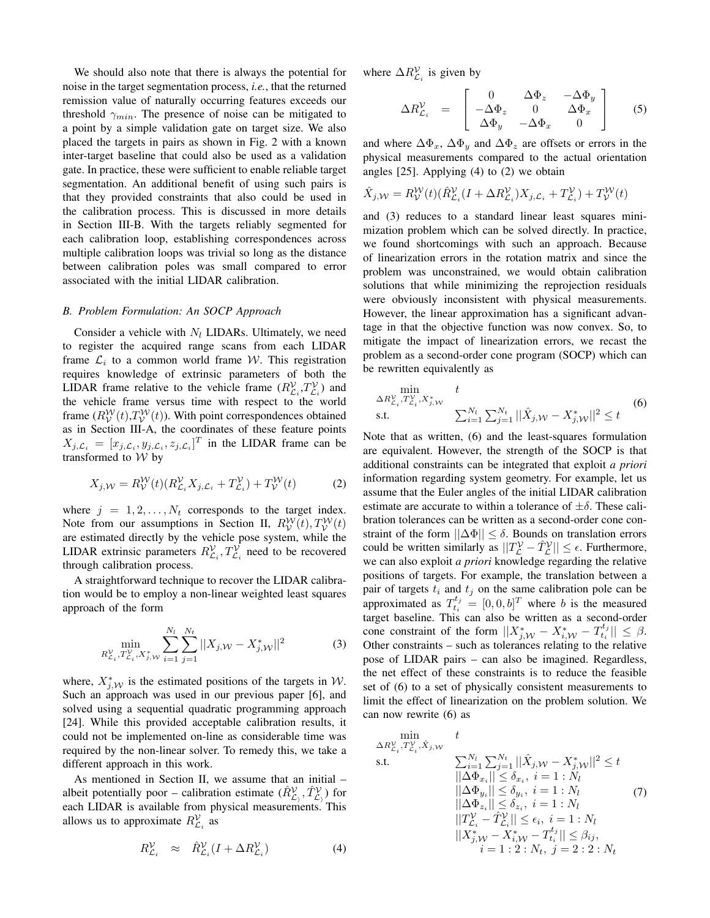We should also note that there is always the potential for noise in the target segmentation process, *i.e.*, that the returned remission value of naturally occurring features exceeds our threshold  $\gamma_{min}$ . The presence of noise can be mitigated to a point by a simple validation gate on target size. We also placed the targets in pairs as shown in Fig. 2 with a known inter-target baseline that could also be used as a validation gate. In practice, these were sufficient to enable reliable target segmentation. An additional benefit of using such pairs is that they provided constraints that also could be used in the calibration process. This is discussed in more details in Section III-B. With the targets reliably segmented for each calibration loop, establishing correspondences across multiple calibration loops was trivial so long as the distance between calibration poles was small compared to error associated with the initial LIDAR calibration.

# *B. Problem Formulation: An SOCP Approach*

Consider a vehicle with  $N_l$  LIDARs. Ultimately, we need to register the acquired range scans from each LIDAR frame  $\mathcal{L}_i$  to a common world frame W. This registration requires knowledge of extrinsic parameters of both the LIDAR frame relative to the vehicle frame  $(R_{\mathcal{L}_i}^{\mathcal{V}}, T_{\mathcal{L}_i}^{\mathcal{V}})$  and the vehicle frame versus time with respect to the world frame  $(R_V^{\mathcal{W}}(t), T_V^{\mathcal{W}}(t))$ . With point correspondences obtained as in Section III-A, the coordinates of these feature points  $X_{j,\mathcal{L}_i} = [x_{j,\mathcal{L}_i}, y_{j,\mathcal{L}_i}, z_{j,\mathcal{L}_i}]^T$  in the LIDAR frame can be transformed to W by

$$
X_{j,W} = R_V^W(t)(R_{\mathcal{L}_i}^V X_{j,\mathcal{L}_i} + T_{\mathcal{L}_i}^V) + T_V^W(t)
$$
 (2)

where  $j = 1, 2, \ldots, N_t$  corresponds to the target index. Note from our assumptions in Section II,  $R_V^{\mathcal{W}}(t)$ ,  $T_V^{\mathcal{W}}(t)$ are estimated directly by the vehicle pose system, while the LIDAR extrinsic parameters  $R_{\mathcal{L}_i}^{\mathcal{V}}, T_{\mathcal{L}_i}^{\mathcal{V}}$  need to be recovered through calibration process.

A straightforward technique to recover the LIDAR calibration would be to employ a non-linear weighted least squares approach of the form

$$
\min_{R_{\mathcal{L}_i}^{\mathcal{V}}, T_{\mathcal{L}_i}^{\mathcal{V}}, X_{j, \mathcal{W}}^*} \sum_{i=1}^{N_l} \sum_{j=1}^{N_t} ||X_{j, \mathcal{W}} - X_{j, \mathcal{W}}^*||^2
$$
(3)

where,  $X^*_{j,\mathcal{W}}$  is the estimated positions of the targets in W. Such an approach was used in our previous paper [6], and solved using a sequential quadratic programming approach [24]. While this provided acceptable calibration results, it could not be implemented on-line as considerable time was required by the non-linear solver. To remedy this, we take a different approach in this work.

As mentioned in Section II, we assume that an initial – albeit potentially poor – calibration estimate  $(\hat{R}_{\mathcal{L}_j}^{\mathcal{V}}, \hat{T}_{\mathcal{L}_j}^{\mathcal{V}})$  for each LIDAR is available from physical measurements. This allows us to approximate  $R^{\mathcal{V}}_{\mathcal{L}_i}$  as

$$
R_{\mathcal{L}_i}^{\mathcal{V}} \approx \hat{R}_{\mathcal{L}_i}^{\mathcal{V}} (I + \Delta R_{\mathcal{L}_i}^{\mathcal{V}})
$$
 (4)

where  $\Delta R_{\mathcal{L}_i}^{\mathcal{V}}$  is given by

$$
\Delta R_{\mathcal{L}_i}^{\mathcal{V}} = \begin{bmatrix} 0 & \Delta \Phi_z & -\Delta \Phi_y \\ -\Delta \Phi_z & 0 & \Delta \Phi_x \\ \Delta \Phi_y & -\Delta \Phi_x & 0 \end{bmatrix}
$$
 (5)

and where  $\Delta \Phi_x$ ,  $\Delta \Phi_y$  and  $\Delta \Phi_z$  are offsets or errors in the physical measurements compared to the actual orientation angles [25]. Applying (4) to (2) we obtain

$$
\hat{X}_{j,\mathcal{W}} = R_{\mathcal{V}}^{\mathcal{W}}(t)(\hat{R}_{\mathcal{L}_i}^{\mathcal{V}}(I + \Delta R_{\mathcal{L}_i}^{\mathcal{V}})X_{j,\mathcal{L}_i} + T_{\mathcal{L}_i}^{\mathcal{V}}) + T_{\mathcal{V}}^{\mathcal{W}}(t)
$$

and (3) reduces to a standard linear least squares minimization problem which can be solved directly. In practice, we found shortcomings with such an approach. Because of linearization errors in the rotation matrix and since the problem was unconstrained, we would obtain calibration solutions that while minimizing the reprojection residuals were obviously inconsistent with physical measurements. However, the linear approximation has a significant advantage in that the objective function was now convex. So, to mitigate the impact of linearization errors, we recast the problem as a second-order cone program (SOCP) which can be rewritten equivalently as

$$
\min_{\Delta R_{\mathcal{L}_i}^{\mathcal{V}}, T_{\mathcal{L}_i}^{\mathcal{V}}, X_{j, \mathcal{W}}^*} t
$$
\ns.t. (6)

Note that as written, (6) and the least-squares formulation are equivalent. However, the strength of the SOCP is that additional constraints can be integrated that exploit *a priori* information regarding system geometry. For example, let us assume that the Euler angles of the initial LIDAR calibration estimate are accurate to within a tolerance of  $\pm \delta$ . These calibration tolerances can be written as a second-order cone constraint of the form  $||\Delta\Phi|| \leq \delta$ . Bounds on translation errors could be written similarly as  $||T_{\mathcal{L}}^{\mathcal{V}} - \hat{T}_{\mathcal{L}}^{\mathcal{V}}|| \leq \epsilon$ . Furthermore, we can also exploit *a priori* knowledge regarding the relative positions of targets. For example, the translation between a pair of targets  $t_i$  and  $t_j$  on the same calibration pole can be approximated as  $T_{t_i}^{t_j} = [0, 0, b]^T$  where b is the measured target baseline. This can also be written as a second-order cone constraint of the form  $||X_{j,\mathcal{W}}^* - X_{i,\mathcal{W}}^* - T_{t_i}^{t_j}|| \leq \beta$ . Other constraints – such as tolerances relating to the relative pose of LIDAR pairs – can also be imagined. Regardless, the net effect of these constraints is to reduce the feasible set of (6) to a set of physically consistent measurements to limit the effect of linearization on the problem solution. We can now rewrite (6) as

$$
\min_{\Delta R_{\mathcal{L}_i}^{\mathcal{V}}, \hat{Y}_{\mathcal{L}_i}^{\mathcal{V}}, \hat{X}_{j, \mathcal{W}}} \quad t
$$
\ns.t.\n
$$
\sum_{i=1}^{N_l} \sum_{j=1}^{N_t} ||\hat{X}_{j, \mathcal{W}} - X_{j, \mathcal{W}}^*||^2 \le t
$$
\n
$$
||\Delta \Phi_{x_i}|| \le \delta_{x_i}, \quad i = 1 : N_l
$$
\n
$$
||\Delta \Phi_{y_i}|| \le \delta_{y_i}, \quad i = 1 : N_l
$$
\n
$$
||\Delta \Phi_{z_i}|| \le \delta_{z_i}, \quad i = 1 : N_l
$$
\n
$$
||T_{\mathcal{L}_i}^{\mathcal{V}} - \hat{T}_{\mathcal{L}_i}^{\mathcal{V}}|| \le \epsilon_i, \quad i = 1 : N_l
$$
\n
$$
||X_{j, \mathcal{W}}^* - X_{i, \mathcal{W}}^* - T_{t_i}^{t_j}|| \le \beta_{ij},
$$
\n
$$
i = 1 : 2 : N_t, \quad j = 2 : 2 : N_t
$$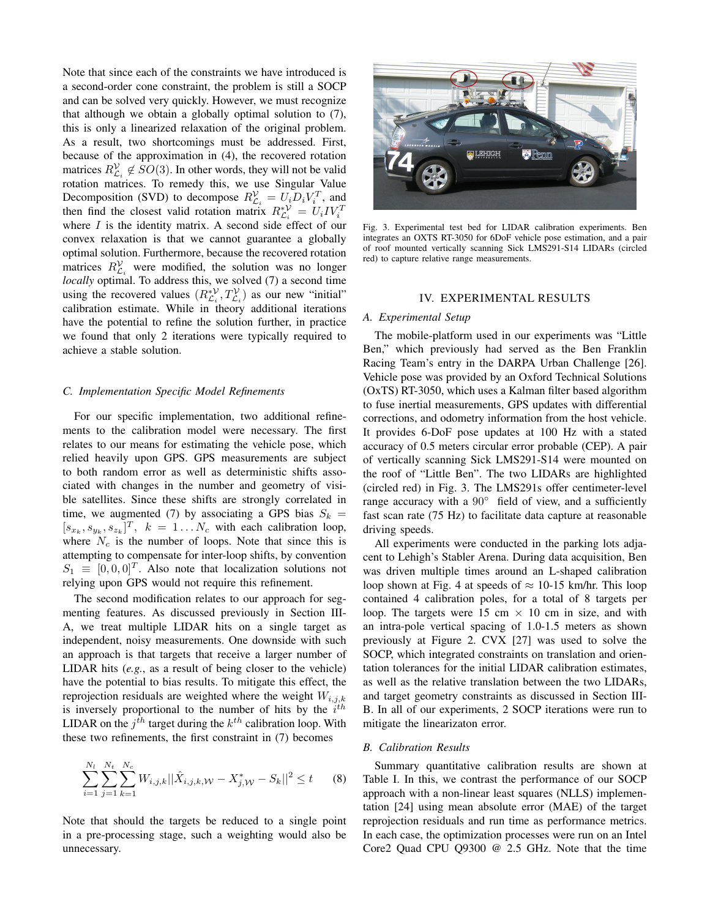Note that since each of the constraints we have introduced is a second-order cone constraint, the problem is still a SOCP and can be solved very quickly. However, we must recognize that although we obtain a globally optimal solution to (7), this is only a linearized relaxation of the original problem. As a result, two shortcomings must be addressed. First, because of the approximation in (4), the recovered rotation matrices  $R_{\mathcal{L}_i}^{\mathcal{V}} \notin SO(3)$ . In other words, they will not be valid rotation matrices. To remedy this, we use Singular Value Decomposition (SVD) to decompose  $R_{\mathcal{L}_i}^{\mathcal{V}} = U_i D_i V_i^T$ , and then find the closest valid rotation matrix  $R_{\mathcal{L}_i}^{*\mathcal{V}} = U_i I V_i^T$ where  $I$  is the identity matrix. A second side effect of our convex relaxation is that we cannot guarantee a globally optimal solution. Furthermore, because the recovered rotation matrices  $R_{\mathcal{L}_i}^{\mathcal{V}}$  were modified, the solution was no longer *locally* optimal. To address this, we solved (7) a second time using the recovered values  $(R_{\mathcal{L}_i}^{*\mathcal{V}}, T_{\mathcal{L}_i}^{\mathcal{V}})$  as our new "initial" calibration estimate. While in theory additional iterations have the potential to refine the solution further, in practice we found that only 2 iterations were typically required to achieve a stable solution.

#### *C. Implementation Specific Model Refinements*

For our specific implementation, two additional refinements to the calibration model were necessary. The first relates to our means for estimating the vehicle pose, which relied heavily upon GPS. GPS measurements are subject to both random error as well as deterministic shifts associated with changes in the number and geometry of visible satellites. Since these shifts are strongly correlated in time, we augmented (7) by associating a GPS bias  $S_k =$  $[s_{x_k}, s_{y_k}, s_{z_k}]^T$ ,  $k = 1...N_c$  with each calibration loop, where  $N_c$  is the number of loops. Note that since this is attempting to compensate for inter-loop shifts, by convention  $S_1 \equiv [0, 0, 0]^T$ . Also note that localization solutions not relying upon GPS would not require this refinement.

The second modification relates to our approach for segmenting features. As discussed previously in Section III-A, we treat multiple LIDAR hits on a single target as independent, noisy measurements. One downside with such an approach is that targets that receive a larger number of LIDAR hits (*e.g.*, as a result of being closer to the vehicle) have the potential to bias results. To mitigate this effect, the reprojection residuals are weighted where the weight  $W_{i,j,k}$ is inversely proportional to the number of hits by the  $i^{th}$ LIDAR on the  $j^{th}$  target during the  $k^{th}$  calibration loop. With these two refinements, the first constraint in (7) becomes

$$
\sum_{i=1}^{N_l} \sum_{j=1}^{N_t} \sum_{k=1}^{N_c} W_{i,j,k} ||\hat{X}_{i,j,k,W} - X_{j,W}^* - S_k||^2 \le t \qquad (8)
$$

Note that should the targets be reduced to a single point in a pre-processing stage, such a weighting would also be unnecessary.



Fig. 3. Experimental test bed for LIDAR calibration experiments. Ben integrates an OXTS RT-3050 for 6DoF vehicle pose estimation, and a pair of roof mounted vertically scanning Sick LMS291-S14 LIDARs (circled red) to capture relative range measurements.

#### IV. EXPERIMENTAL RESULTS

## *A. Experimental Setup*

The mobile-platform used in our experiments was "Little Ben," which previously had served as the Ben Franklin Racing Team's entry in the DARPA Urban Challenge [26]. Vehicle pose was provided by an Oxford Technical Solutions (OxTS) RT-3050, which uses a Kalman filter based algorithm to fuse inertial measurements, GPS updates with differential corrections, and odometry information from the host vehicle. It provides 6-DoF pose updates at 100 Hz with a stated accuracy of 0.5 meters circular error probable (CEP). A pair of vertically scanning Sick LMS291-S14 were mounted on the roof of "Little Ben". The two LIDARs are highlighted (circled red) in Fig. 3. The LMS291s offer centimeter-level range accuracy with a  $90^\circ$  field of view, and a sufficiently fast scan rate (75 Hz) to facilitate data capture at reasonable driving speeds.

All experiments were conducted in the parking lots adjacent to Lehigh's Stabler Arena. During data acquisition, Ben was driven multiple times around an L-shaped calibration loop shown at Fig. 4 at speeds of  $\approx 10$ -15 km/hr. This loop contained 4 calibration poles, for a total of 8 targets per loop. The targets were 15 cm  $\times$  10 cm in size, and with an intra-pole vertical spacing of 1.0-1.5 meters as shown previously at Figure 2. CVX [27] was used to solve the SOCP, which integrated constraints on translation and orientation tolerances for the initial LIDAR calibration estimates, as well as the relative translation between the two LIDARs, and target geometry constraints as discussed in Section III-B. In all of our experiments, 2 SOCP iterations were run to mitigate the linearizaton error.

# *B. Calibration Results*

Summary quantitative calibration results are shown at Table I. In this, we contrast the performance of our SOCP approach with a non-linear least squares (NLLS) implementation [24] using mean absolute error (MAE) of the target reprojection residuals and run time as performance metrics. In each case, the optimization processes were run on an Intel Core2 Quad CPU Q9300 @ 2.5 GHz. Note that the time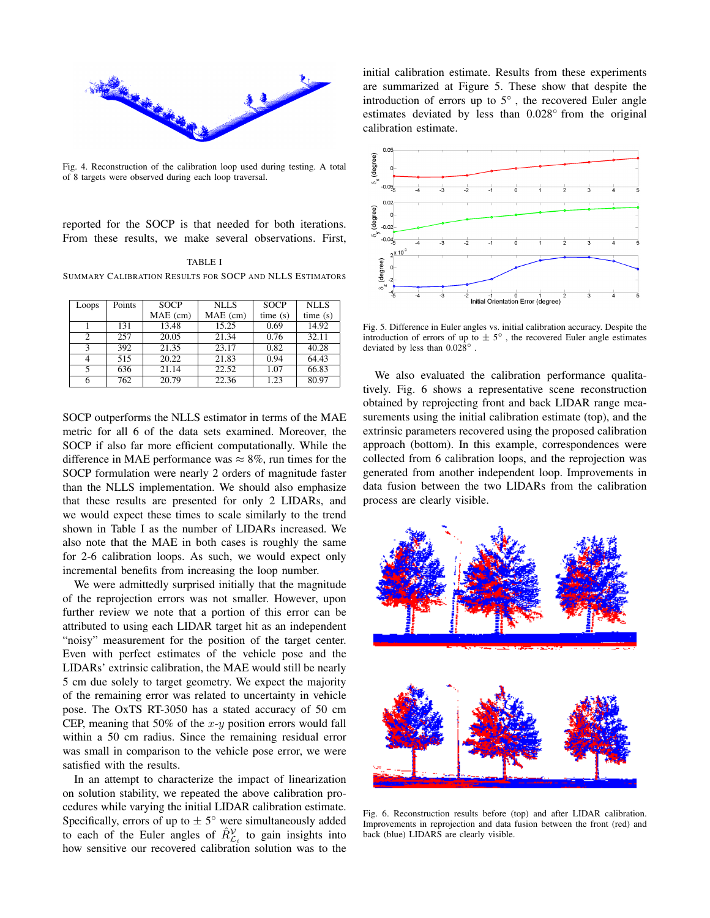

Fig. 4. Reconstruction of the calibration loop used during testing. A total of 8 targets were observed during each loop traversal.

reported for the SOCP is that needed for both iterations. From these results, we make several observations. First,

TABLE I SUMMARY CALIBRATION RESULTS FOR SOCP AND NLLS ESTIMATORS

| Loops         | Points | <b>SOCP</b> | <b>NLLS</b>        | <b>SOCP</b> | <b>NLLS</b> |
|---------------|--------|-------------|--------------------|-------------|-------------|
|               |        | MAE (cm)    | MAE (cm)           | time(s)     | time(s)     |
|               | 131    | 13.48       | 15.25              | 0.69        | 14.92       |
| 2             | 257    | 20.05       | 21.34              | 0.76        | 32.11       |
| $\mathcal{R}$ | 392    | 21.35       | 23.17              | 0.82        | 40.28       |
|               | 515    | 20.22       | $21.\overline{83}$ | 0.94        | 64.43       |
|               | 636    | 21.14       | 22.52              | 1.07        | 66.83       |
|               | 762    | 20.79       | 22.36              | 1.23        | 80.97       |

SOCP outperforms the NLLS estimator in terms of the MAE metric for all 6 of the data sets examined. Moreover, the SOCP if also far more efficient computationally. While the difference in MAE performance was  $\approx 8\%$ , run times for the SOCP formulation were nearly 2 orders of magnitude faster than the NLLS implementation. We should also emphasize that these results are presented for only 2 LIDARs, and we would expect these times to scale similarly to the trend shown in Table I as the number of LIDARs increased. We also note that the MAE in both cases is roughly the same for 2-6 calibration loops. As such, we would expect only incremental benefits from increasing the loop number.

We were admittedly surprised initially that the magnitude of the reprojection errors was not smaller. However, upon further review we note that a portion of this error can be attributed to using each LIDAR target hit as an independent "noisy" measurement for the position of the target center. Even with perfect estimates of the vehicle pose and the LIDARs' extrinsic calibration, the MAE would still be nearly 5 cm due solely to target geometry. We expect the majority of the remaining error was related to uncertainty in vehicle pose. The OxTS RT-3050 has a stated accuracy of 50 cm CEP, meaning that 50% of the  $x-y$  position errors would fall within a 50 cm radius. Since the remaining residual error was small in comparison to the vehicle pose error, we were satisfied with the results.

In an attempt to characterize the impact of linearization on solution stability, we repeated the above calibration procedures while varying the initial LIDAR calibration estimate. Specifically, errors of up to  $\pm 5^{\circ}$  were simultaneously added to each of the Euler angles of  $\hat{R}_{\mathcal{L}_i}^{\mathcal{V}}$  to gain insights into how sensitive our recovered calibration solution was to the initial calibration estimate. Results from these experiments are summarized at Figure 5. These show that despite the introduction of errors up to  $5^\circ$ , the recovered Euler angle estimates deviated by less than 0.028◦ from the original calibration estimate.



Fig. 5. Difference in Euler angles vs. initial calibration accuracy. Despite the introduction of errors of up to  $\pm 5^{\circ}$ , the recovered Euler angle estimates deviated by less than 0.028<sup>°</sup>

We also evaluated the calibration performance qualitatively. Fig. 6 shows a representative scene reconstruction obtained by reprojecting front and back LIDAR range measurements using the initial calibration estimate (top), and the extrinsic parameters recovered using the proposed calibration approach (bottom). In this example, correspondences were collected from 6 calibration loops, and the reprojection was generated from another independent loop. Improvements in data fusion between the two LIDARs from the calibration process are clearly visible.



Fig. 6. Reconstruction results before (top) and after LIDAR calibration. Improvements in reprojection and data fusion between the front (red) and back (blue) LIDARS are clearly visible.